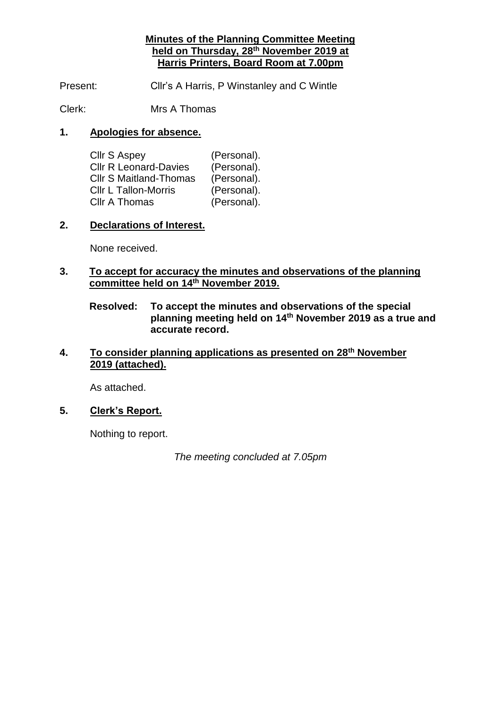#### **Minutes of the Planning Committee Meeting held on Thursday, 28th November 2019 at Harris Printers, Board Room at 7.00pm**

Present: Cllr's A Harris, P Winstanley and C Wintle

Clerk: Mrs A Thomas

#### **1. Apologies for absence.**

| <b>Cllr S Aspey</b>           | (Personal). |
|-------------------------------|-------------|
| <b>CIIr R Leonard-Davies</b>  | (Personal). |
| <b>Cllr S Maitland-Thomas</b> | (Personal). |
| <b>CIIr L Tallon-Morris</b>   | (Personal). |
| <b>CIIr A Thomas</b>          | (Personal). |

#### **2. Declarations of Interest.**

None received.

#### **3. To accept for accuracy the minutes and observations of the planning committee held on 14th November 2019.**

**Resolved: To accept the minutes and observations of the special planning meeting held on 14th November 2019 as a true and accurate record.**

#### **4. To consider planning applications as presented on 28th November 2019 (attached).**

As attached.

## **5. Clerk's Report.**

Nothing to report.

*The meeting concluded at 7.05pm*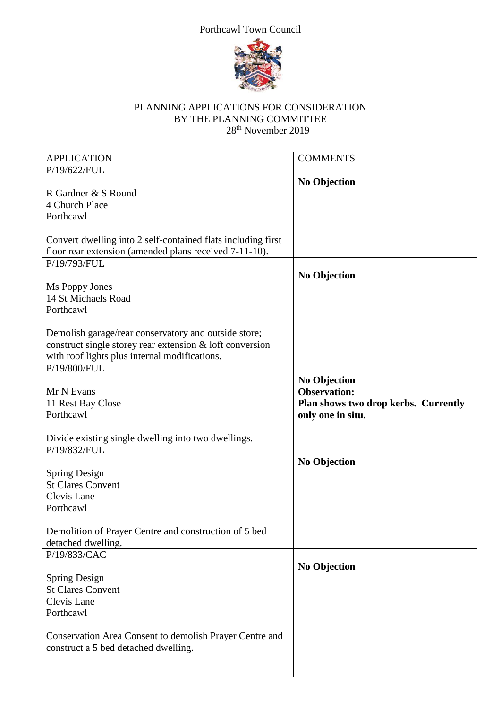# Porthcawl Town Council



### PLANNING APPLICATIONS FOR CONSIDERATION BY THE PLANNING COMMITTEE 28<sup>th</sup> November 2019

| <b>APPLICATION</b>                                           | <b>COMMENTS</b>                            |
|--------------------------------------------------------------|--------------------------------------------|
| P/19/622/FUL                                                 |                                            |
|                                                              |                                            |
| R Gardner & S Round                                          | <b>No Objection</b>                        |
|                                                              |                                            |
| 4 Church Place                                               |                                            |
| Porthcawl                                                    |                                            |
|                                                              |                                            |
| Convert dwelling into 2 self-contained flats including first |                                            |
| floor rear extension (amended plans received 7-11-10).       |                                            |
| P/19/793/FUL                                                 |                                            |
|                                                              | <b>No Objection</b>                        |
| Ms Poppy Jones                                               |                                            |
| 14 St Michaels Road                                          |                                            |
| Porthcawl                                                    |                                            |
|                                                              |                                            |
| Demolish garage/rear conservatory and outside store;         |                                            |
| construct single storey rear extension & loft conversion     |                                            |
| with roof lights plus internal modifications.                |                                            |
| P/19/800/FUL                                                 |                                            |
|                                                              |                                            |
|                                                              | <b>No Objection</b><br><b>Observation:</b> |
| Mr N Evans                                                   |                                            |
| 11 Rest Bay Close                                            | Plan shows two drop kerbs. Currently       |
| Porthcawl                                                    | only one in situ.                          |
|                                                              |                                            |
| Divide existing single dwelling into two dwellings.          |                                            |
| P/19/832/FUL                                                 |                                            |
|                                                              | <b>No Objection</b>                        |
| <b>Spring Design</b>                                         |                                            |
| <b>St Clares Convent</b>                                     |                                            |
| Clevis Lane                                                  |                                            |
| Porthcawl                                                    |                                            |
|                                                              |                                            |
| Demolition of Prayer Centre and construction of 5 bed        |                                            |
| detached dwelling.                                           |                                            |
| P/19/833/CAC                                                 |                                            |
|                                                              | <b>No Objection</b>                        |
| <b>Spring Design</b>                                         |                                            |
| <b>St Clares Convent</b>                                     |                                            |
| Clevis Lane                                                  |                                            |
|                                                              |                                            |
| Porthcawl                                                    |                                            |
|                                                              |                                            |
| Conservation Area Consent to demolish Prayer Centre and      |                                            |
| construct a 5 bed detached dwelling.                         |                                            |
|                                                              |                                            |
|                                                              |                                            |